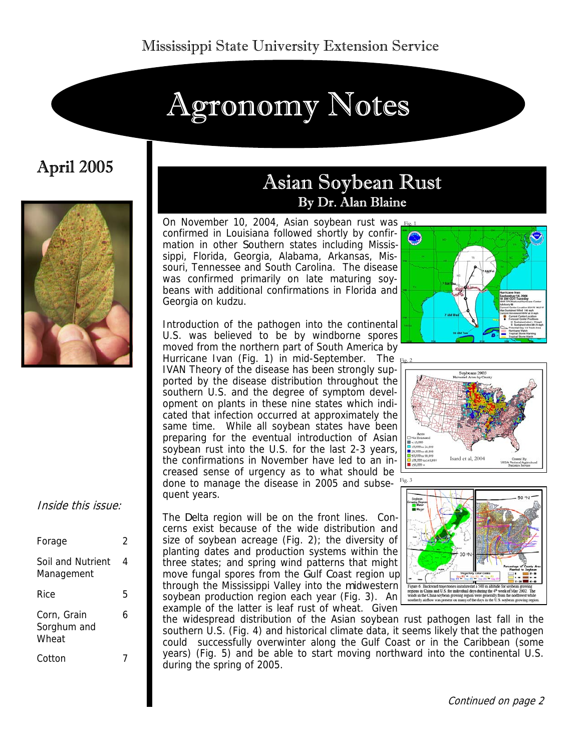# Agronomy Notes

# April 2005



#### Inside this issue:

| Forage                              | 2 |
|-------------------------------------|---|
| Soil and Nutrient<br>Management     | 4 |
| Rice                                | 5 |
| Corn, Grain<br>Sorghum and<br>Wheat | 6 |
| Cotton                              |   |

# Asian Soybean Rust By Dr. Alan Blaine

On November 10, 2004, Asian soybean rust was Fig.1 confirmed in Louisiana followed shortly by confirmation in other Southern states including Mississippi, Florida, Georgia, Alabama, Arkansas, Missouri, Tennessee and South Carolina. The disease was confirmed primarily on late maturing soybeans with additional confirmations in Florida and Georgia on kudzu.

Introduction of the pathogen into the continental U.S. was believed to be by windborne spores moved from the northern part of South America by Hurricane Ivan (Fig. 1) in mid-September. The IVAN Theory of the disease has been strongly supported by the disease distribution throughout the southern U.S. and the degree of symptom development on plants in these nine states which indicated that infection occurred at approximately the same time. While all soybean states have been preparing for the eventual introduction of Asian soybean rust into the U.S. for the last 2-3 years, the confirmations in November have led to an increased sense of urgency as to what should be done to manage the disease in 2005 and subsequent years.

The Delta region will be on the front lines. Concerns exist because of the wide distribution and size of soybean acreage (Fig. 2); the diversity of planting dates and production systems within the three states; and spring wind patterns that might move fungal spores from the Gulf Coast region up through the Mississippi Valley into the midwestern soybean production region each year (Fig. 3). An example of the latter is leaf rust of wheat. Given







the widespread distribution of the Asian soybean rust pathogen last fall in the southern U.S. (Fig. 4) and historical climate data, it seems likely that the pathogen could successfully overwinter along the Gulf Coast or in the Caribbean (some years) (Fig. 5) and be able to start moving northward into the continental U.S. during the spring of 2005.

Continued on page 2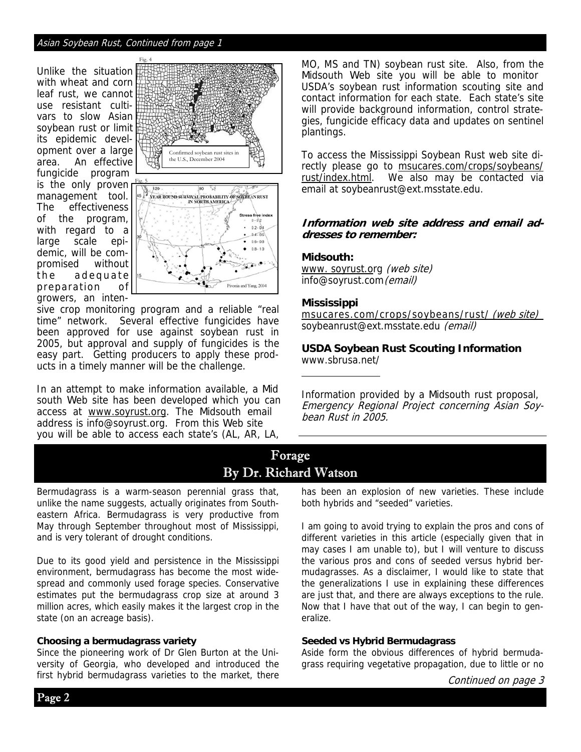#### Asian Soybean Rust, Continued from page 1

Unlike the situation with wheat and corn leaf rust, we cannot use resistant cultivars to slow Asian soybean rust or limit its epidemic development over a large area. An effective fungicide program is the only proven management tool. The effectiveness of the program, with regard to a large scale epidemic, will be compromised without the adequate preparation of growers, an inten-



sive crop monitoring program and a reliable "real time" network. Several effective fungicides have been approved for use against soybean rust in 2005, but approval and supply of fungicides is the easy part. Getting producers to apply these products in a timely manner will be the challenge.

In an attempt to make information available, a Mid south Web site has been developed which you can access at www.soyrust.org. The Midsouth email address is info@soyrust.org. From this Web site you will be able to access each state's (AL, AR, LA,

MO, MS and TN) soybean rust site. Also, from the Midsouth Web site you will be able to monitor USDA's soybean rust information scouting site and contact information for each state. Each state's site will provide background information, control strategies, fungicide efficacy data and updates on sentinel plantings.

To access the Mississippi Soybean Rust web site directly please go to msucares.com/crops/soybeans/ rust/index.html. We also may be contacted via email at soybeanrust@ext.msstate.edu.

#### **Information web site address and email addresses to remember:**

#### **Midsouth:**

www. soyrust.org (web site) info@soyrust.com (email)

#### **Mississippi**

msucares.com/crops/soybeans/rust/ (web site) soybeanrust@ext.msstate.edu (email)

**USDA Soybean Rust Scouting Information**  www.sbrusa.net/

Information provided by a Midsouth rust proposal, Emergency Regional Project concerning Asian Soybean Rust in 2005.

# Forage By Dr. Richard Watson

Bermudagrass is a warm-season perennial grass that, unlike the name suggests, actually originates from Southeastern Africa. Bermudagrass is very productive from May through September throughout most of Mississippi, and is very tolerant of drought conditions.

Due to its good yield and persistence in the Mississippi environment, bermudagrass has become the most widespread and commonly used forage species. Conservative estimates put the bermudagrass crop size at around 3 million acres, which easily makes it the largest crop in the state (on an acreage basis).

#### **Choosing a bermudagrass variety**

Since the pioneering work of Dr Glen Burton at the University of Georgia, who developed and introduced the first hybrid bermudagrass varieties to the market, there

has been an explosion of new varieties. These include both hybrids and "seeded" varieties.

I am going to avoid trying to explain the pros and cons of different varieties in this article (especially given that in may cases I am unable to), but I will venture to discuss the various pros and cons of seeded versus hybrid bermudagrasses. As a disclaimer, I would like to state that the generalizations I use in explaining these differences are just that, and there are always exceptions to the rule. Now that I have that out of the way, I can begin to generalize.

#### **Seeded vs Hybrid Bermudagrass**

Aside form the obvious differences of hybrid bermudagrass requiring vegetative propagation, due to little or no

Page 2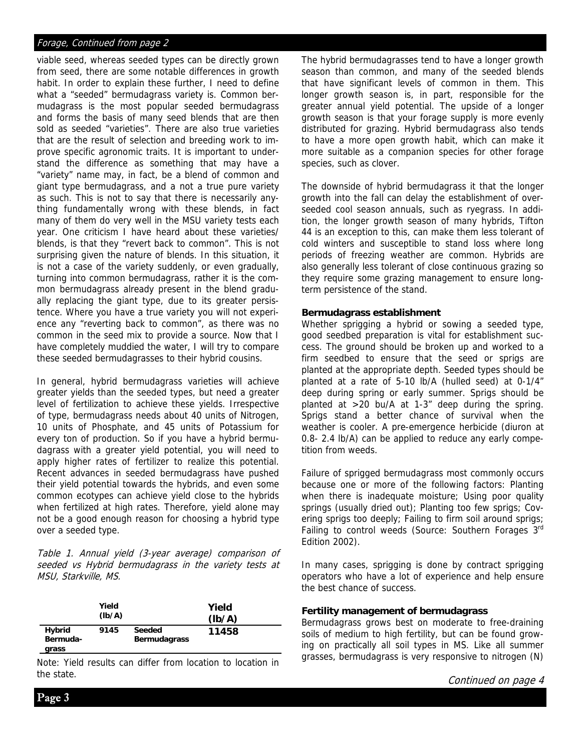#### Forage, Continued from page 2

viable seed, whereas seeded types can be directly grown from seed, there are some notable differences in growth habit. In order to explain these further, I need to define what a "seeded" bermudagrass variety is. Common bermudagrass is the most popular seeded bermudagrass and forms the basis of many seed blends that are then sold as seeded "varieties". There are also true varieties that are the result of selection and breeding work to improve specific agronomic traits. It is important to understand the difference as something that may have a "variety" name may, in fact, be a blend of common and giant type bermudagrass, and a not a true pure variety as such. This is not to say that there is necessarily anything fundamentally wrong with these blends, in fact many of them do very well in the MSU variety tests each year. One criticism I have heard about these varieties/ blends, is that they "revert back to common". This is not surprising given the nature of blends. In this situation, it is not a case of the variety suddenly, or even gradually, turning into common bermudagrass, rather it is the common bermudagrass already present in the blend gradually replacing the giant type, due to its greater persistence. Where you have a true variety you will not experience any "reverting back to common", as there was no common in the seed mix to provide a source. Now that I have completely muddied the water, I will try to compare these seeded bermudagrasses to their hybrid cousins.

In general, hybrid bermudagrass varieties will achieve greater yields than the seeded types, but need a greater level of fertilization to achieve these yields. Irrespective of type, bermudagrass needs about 40 units of Nitrogen, 10 units of Phosphate, and 45 units of Potassium for every ton of production. So if you have a hybrid bermudagrass with a greater yield potential, you will need to apply higher rates of fertilizer to realize this potential. Recent advances in seeded bermudagrass have pushed their yield potential towards the hybrids, and even some common ecotypes can achieve yield close to the hybrids when fertilized at high rates. Therefore, yield alone may not be a good enough reason for choosing a hybrid type over a seeded type.

Table 1. Annual yield (3-year average) comparison of seeded vs Hybrid bermudagrass in the variety tests at MSU, Starkville, MS.

|                             | Yield<br>(lb/A) |                               | Yield<br>(Ib/A) |
|-----------------------------|-----------------|-------------------------------|-----------------|
| Hybrid<br>Bermuda-<br>grass | 9145            | Seeded<br><b>Bermudagrass</b> | 11458           |

Note: Yield results can differ from location to location in the state.

The hybrid bermudagrasses tend to have a longer growth season than common, and many of the seeded blends that have significant levels of common in them. This longer growth season is, in part, responsible for the greater annual yield potential. The upside of a longer growth season is that your forage supply is more evenly distributed for grazing. Hybrid bermudagrass also tends to have a more open growth habit, which can make it more suitable as a companion species for other forage species, such as clover.

The downside of hybrid bermudagrass it that the longer growth into the fall can delay the establishment of overseeded cool season annuals, such as ryegrass. In addition, the longer growth season of many hybrids, Tifton 44 is an exception to this, can make them less tolerant of cold winters and susceptible to stand loss where long periods of freezing weather are common. Hybrids are also generally less tolerant of close continuous grazing so they require some grazing management to ensure longterm persistence of the stand.

#### **Bermudagrass establishment**

Whether sprigging a hybrid or sowing a seeded type, good seedbed preparation is vital for establishment success. The ground should be broken up and worked to a firm seedbed to ensure that the seed or sprigs are planted at the appropriate depth. Seeded types should be planted at a rate of 5-10 lb/A (hulled seed) at 0-1/4" deep during spring or early summer. Sprigs should be planted at >20 bu/A at 1-3" deep during the spring. Sprigs stand a better chance of survival when the weather is cooler. A pre-emergence herbicide (diuron at 0.8- 2.4 lb/A) can be applied to reduce any early competition from weeds.

Failure of sprigged bermudagrass most commonly occurs because one or more of the following factors: Planting when there is inadequate moisture; Using poor quality springs (usually dried out); Planting too few sprigs; Covering sprigs too deeply; Failing to firm soil around sprigs; Failing to control weeds (Source: Southern Forages 3rd Edition 2002).

In many cases, sprigging is done by contract sprigging operators who have a lot of experience and help ensure the best chance of success.

#### **Fertility management of bermudagrass**

Bermudagrass grows best on moderate to free-draining soils of medium to high fertility, but can be found growing on practically all soil types in MS. Like all summer grasses, bermudagrass is very responsive to nitrogen (N)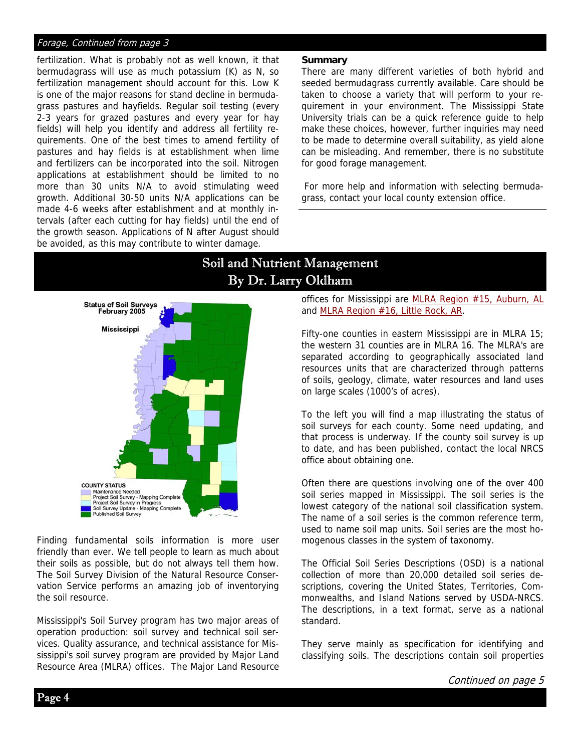#### Forage, Continued from page 3

fertilization. What is probably not as well known, it that bermudagrass will use as much potassium (K) as N, so fertilization management should account for this. Low K is one of the major reasons for stand decline in bermudagrass pastures and hayfields. Regular soil testing (every 2-3 years for grazed pastures and every year for hay fields) will help you identify and address all fertility requirements. One of the best times to amend fertility of pastures and hay fields is at establishment when lime and fertilizers can be incorporated into the soil. Nitrogen applications at establishment should be limited to no more than 30 units N/A to avoid stimulating weed growth. Additional 30-50 units N/A applications can be made 4-6 weeks after establishment and at monthly intervals (after each cutting for hay fields) until the end of the growth season. Applications of N after August should be avoided, as this may contribute to winter damage.

#### **Summary**

There are many different varieties of both hybrid and seeded bermudagrass currently available. Care should be taken to choose a variety that will perform to your requirement in your environment. The Mississippi State University trials can be a quick reference guide to help make these choices, however, further inquiries may need to be made to determine overall suitability, as yield alone can be misleading. And remember, there is no substitute for good forage management.

 For more help and information with selecting bermudagrass, contact your local county extension office.



Finding fundamental soils information is more user friendly than ever. We tell people to learn as much about their soils as possible, but do not always tell them how. The Soil Survey Division of the Natural Resource Conservation Service performs an amazing job of inventorying the soil resource.

Mississippi's Soil Survey program has two major areas of operation production: soil survey and technical soil services. Quality assurance, and technical assistance for Mississippi's soil survey program are provided by Major Land Resource Area (MLRA) offices. The Major Land Resource

# Soil and Nutrient Management By Dr. Larry Oldham

offices for Mississippi are MLRA Region #15, Auburn, AL and MLRA Region #16, Little Rock, AR.

Fifty-one counties in eastern Mississippi are in MLRA 15; the western 31 counties are in MLRA 16. The MLRA's are separated according to geographically associated land resources units that are characterized through patterns of soils, geology, climate, water resources and land uses on large scales (1000's of acres).

To the left you will find a map illustrating the status of soil surveys for each county. Some need updating, and that process is underway. If the county soil survey is up to date, and has been published, contact the local NRCS office about obtaining one.

Often there are questions involving one of the over 400 soil series mapped in Mississippi. The soil series is the lowest category of the national soil classification system. The name of a soil series is the common reference term, used to name soil map units. Soil series are the most homogenous classes in the system of taxonomy.

The Official Soil Series Descriptions (OSD) is a national collection of more than 20,000 detailed soil series descriptions, covering the United States, Territories, Commonwealths, and Island Nations served by USDA-NRCS. The descriptions, in a text format, serve as a national standard.

They serve mainly as specification for identifying and classifying soils. The descriptions contain soil properties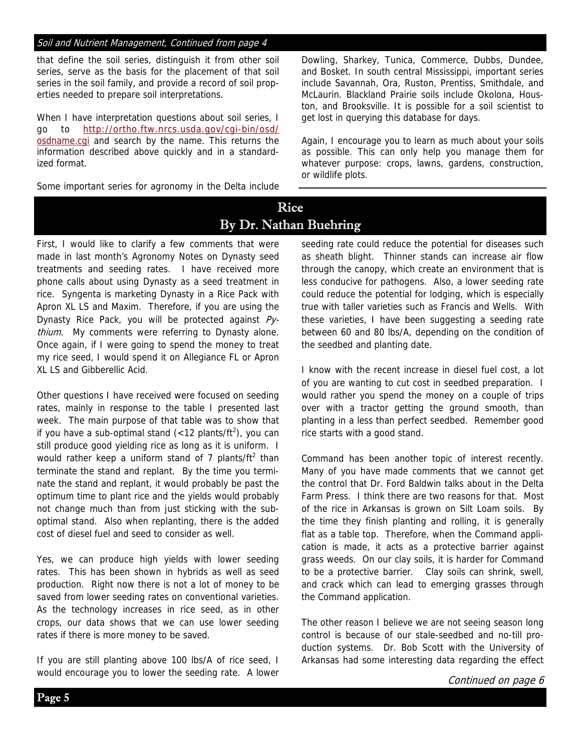#### Soil and Nutrient Management, Continued from page 4

that define the soil series, distinguish it from other soil series, serve as the basis for the placement of that soil series in the soil family, and provide a record of soil properties needed to prepare soil interpretations.

When I have interpretation questions about soil series, I go to http://ortho.ftw.nrcs.usda.gov/cgi-bin/osd/ osdname.cgi and search by the name. This returns the information described above quickly and in a standardized format.

Some important series for agronomy in the Delta include

Dowling, Sharkey, Tunica, Commerce, Dubbs, Dundee, and Bosket. In south central Mississippi, important series include Savannah, Ora, Ruston, Prentiss, Smithdale, and McLaurin. Blackland Prairie soils include Okolona, Houston, and Brooksville. It is possible for a soil scientist to get lost in querying this database for days.

Again, I encourage you to learn as much about your soils as possible. This can only help you manage them for whatever purpose: crops, lawns, gardens, construction, or wildlife plots.

# Rice By Dr. Nathan Buehring

First, I would like to clarify a few comments that were made in last month's Agronomy Notes on Dynasty seed treatments and seeding rates. I have received more phone calls about using Dynasty as a seed treatment in rice. Syngenta is marketing Dynasty in a Rice Pack with Apron XL LS and Maxim. Therefore, if you are using the Dynasty Rice Pack, you will be protected against  $Py$ thium. My comments were referring to Dynasty alone. Once again, if I were going to spend the money to treat my rice seed, I would spend it on Allegiance FL or Apron XL LS and Gibberellic Acid.

Other questions I have received were focused on seeding rates, mainly in response to the table I presented last week. The main purpose of that table was to show that if you have a sub-optimal stand  $\left\langle \langle 12 \rangle 2 \right\rangle$  (sum can still produce good yielding rice as long as it is uniform. I would rather keep a uniform stand of 7 plants/ft<sup>2</sup> than terminate the stand and replant. By the time you terminate the stand and replant, it would probably be past the optimum time to plant rice and the yields would probably not change much than from just sticking with the suboptimal stand. Also when replanting, there is the added cost of diesel fuel and seed to consider as well.

Yes, we can produce high yields with lower seeding rates. This has been shown in hybrids as well as seed production. Right now there is not a lot of money to be saved from lower seeding rates on conventional varieties. As the technology increases in rice seed, as in other crops, our data shows that we can use lower seeding rates if there is more money to be saved.

If you are still planting above 100 lbs/A of rice seed, I would encourage you to lower the seeding rate. A lower seeding rate could reduce the potential for diseases such as sheath blight. Thinner stands can increase air flow through the canopy, which create an environment that is less conducive for pathogens. Also, a lower seeding rate could reduce the potential for lodging, which is especially true with taller varieties such as Francis and Wells. With these varieties, I have been suggesting a seeding rate between 60 and 80 lbs/A, depending on the condition of the seedbed and planting date.

I know with the recent increase in diesel fuel cost, a lot of you are wanting to cut cost in seedbed preparation. I would rather you spend the money on a couple of trips over with a tractor getting the ground smooth, than planting in a less than perfect seedbed. Remember good rice starts with a good stand.

Command has been another topic of interest recently. Many of you have made comments that we cannot get the control that Dr. Ford Baldwin talks about in the Delta Farm Press. I think there are two reasons for that. Most of the rice in Arkansas is grown on Silt Loam soils. By the time they finish planting and rolling, it is generally flat as a table top. Therefore, when the Command application is made, it acts as a protective barrier against grass weeds. On our clay soils, it is harder for Command to be a protective barrier. Clay soils can shrink, swell, and crack which can lead to emerging grasses through the Command application.

The other reason I believe we are not seeing season long control is because of our stale-seedbed and no-till production systems. Dr. Bob Scott with the University of Arkansas had some interesting data regarding the effect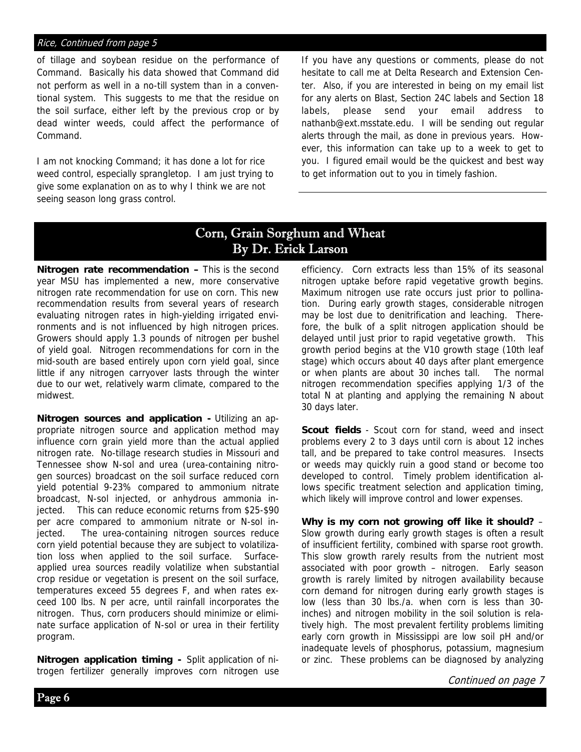#### Rice, Continued from page 5

of tillage and soybean residue on the performance of Command. Basically his data showed that Command did not perform as well in a no-till system than in a conventional system. This suggests to me that the residue on the soil surface, either left by the previous crop or by dead winter weeds, could affect the performance of Command.

I am not knocking Command; it has done a lot for rice weed control, especially sprangletop. I am just trying to give some explanation on as to why I think we are not seeing season long grass control.

If you have any questions or comments, please do not hesitate to call me at Delta Research and Extension Center. Also, if you are interested in being on my email list for any alerts on Blast, Section 24C labels and Section 18 labels, please send your email address to nathanb@ext.msstate.edu. I will be sending out regular alerts through the mail, as done in previous years. However, this information can take up to a week to get to you. I figured email would be the quickest and best way to get information out to you in timely fashion.

### Corn, Grain Sorghum and Wheat By Dr. Erick Larson

**Nitrogen rate recommendation –** This is the second year MSU has implemented a new, more conservative nitrogen rate recommendation for use on corn. This new recommendation results from several years of research evaluating nitrogen rates in high-yielding irrigated environments and is not influenced by high nitrogen prices. Growers should apply 1.3 pounds of nitrogen per bushel of yield goal. Nitrogen recommendations for corn in the mid-south are based entirely upon corn yield goal, since little if any nitrogen carryover lasts through the winter due to our wet, relatively warm climate, compared to the midwest.

**Nitrogen sources and application -** Utilizing an appropriate nitrogen source and application method may influence corn grain yield more than the actual applied nitrogen rate. No-tillage research studies in Missouri and Tennessee show N-sol and urea (urea-containing nitrogen sources) broadcast on the soil surface reduced corn yield potential 9-23% compared to ammonium nitrate broadcast, N-sol injected, or anhydrous ammonia injected. This can reduce economic returns from \$25-\$90 per acre compared to ammonium nitrate or N-sol injected. The urea-containing nitrogen sources reduce corn yield potential because they are subject to volatilization loss when applied to the soil surface. Surfaceapplied urea sources readily volatilize when substantial crop residue or vegetation is present on the soil surface, temperatures exceed 55 degrees F, and when rates exceed 100 lbs. N per acre, until rainfall incorporates the nitrogen. Thus, corn producers should minimize or eliminate surface application of N-sol or urea in their fertility program.

**Nitrogen application timing -** Split application of nitrogen fertilizer generally improves corn nitrogen use efficiency. Corn extracts less than 15% of its seasonal nitrogen uptake before rapid vegetative growth begins. Maximum nitrogen use rate occurs just prior to pollination. During early growth stages, considerable nitrogen may be lost due to denitrification and leaching. Therefore, the bulk of a split nitrogen application should be delayed until just prior to rapid vegetative growth. This growth period begins at the V10 growth stage (10th leaf stage) which occurs about 40 days after plant emergence or when plants are about 30 inches tall. The normal nitrogen recommendation specifies applying 1/3 of the total N at planting and applying the remaining N about 30 days later.

**Scout fields** - Scout corn for stand, weed and insect problems every 2 to 3 days until corn is about 12 inches tall, and be prepared to take control measures. Insects or weeds may quickly ruin a good stand or become too developed to control. Timely problem identification allows specific treatment selection and application timing, which likely will improve control and lower expenses.

**Why is my corn not growing off like it should?** – Slow growth during early growth stages is often a result of insufficient fertility, combined with sparse root growth. This slow growth rarely results from the nutrient most associated with poor growth – nitrogen. Early season growth is rarely limited by nitrogen availability because corn demand for nitrogen during early growth stages is low (less than 30 lbs./a. when corn is less than 30 inches) and nitrogen mobility in the soil solution is relatively high. The most prevalent fertility problems limiting early corn growth in Mississippi are low soil pH and/or inadequate levels of phosphorus, potassium, magnesium or zinc. These problems can be diagnosed by analyzing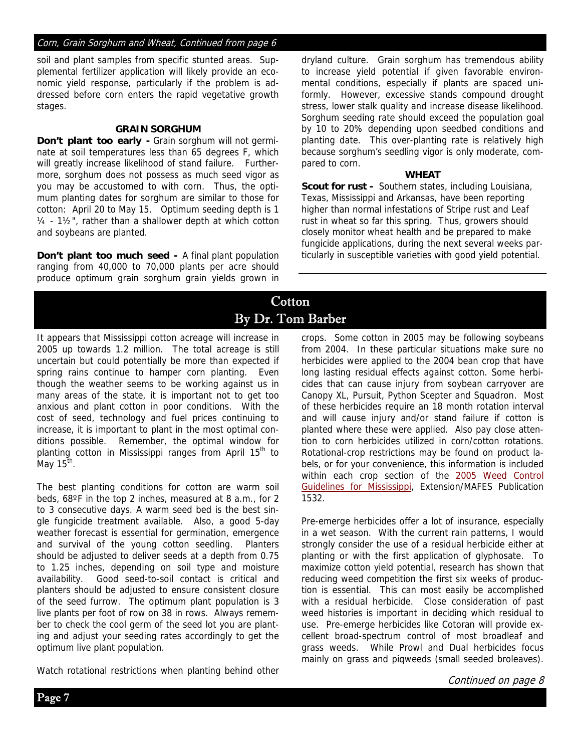#### Corn, Grain Sorghum and Wheat, Continued from page 6

soil and plant samples from specific stunted areas. Supplemental fertilizer application will likely provide an economic yield response, particularly if the problem is addressed before corn enters the rapid vegetative growth stages.

#### **GRAIN SORGHUM**

**Don't plant too early -** Grain sorghum will not germinate at soil temperatures less than 65 degrees F, which will greatly increase likelihood of stand failure. Furthermore, sorghum does not possess as much seed vigor as you may be accustomed to with corn. Thus, the optimum planting dates for sorghum are similar to those for cotton: April 20 to May 15. Optimum seeding depth is 1 ¼ - 1½", rather than a shallower depth at which cotton and soybeans are planted.

**Don't plant too much seed -** A final plant population ranging from 40,000 to 70,000 plants per acre should produce optimum grain sorghum grain yields grown in dryland culture. Grain sorghum has tremendous ability to increase yield potential if given favorable environmental conditions, especially if plants are spaced uniformly. However, excessive stands compound drought stress, lower stalk quality and increase disease likelihood. Sorghum seeding rate should exceed the population goal by 10 to 20% depending upon seedbed conditions and planting date. This over-planting rate is relatively high because sorghum's seedling vigor is only moderate, compared to corn.

#### **WHEAT**

**Scout for rust -** Southern states, including Louisiana, Texas, Mississippi and Arkansas, have been reporting higher than normal infestations of Stripe rust and Leaf rust in wheat so far this spring. Thus, growers should closely monitor wheat health and be prepared to make fungicide applications, during the next several weeks particularly in susceptible varieties with good yield potential.

# Cotton By Dr. Tom Barber

It appears that Mississippi cotton acreage will increase in 2005 up towards 1.2 million. The total acreage is still uncertain but could potentially be more than expected if spring rains continue to hamper corn planting. Even though the weather seems to be working against us in many areas of the state, it is important not to get too anxious and plant cotton in poor conditions. With the cost of seed, technology and fuel prices continuing to increase, it is important to plant in the most optimal conditions possible. Remember, the optimal window for planting cotton in Mississippi ranges from April 15<sup>th</sup> to May  $15<sup>th</sup>$ .

The best planting conditions for cotton are warm soil beds, 68ºF in the top 2 inches, measured at 8 a.m., for 2 to 3 consecutive days. A warm seed bed is the best single fungicide treatment available. Also, a good 5-day weather forecast is essential for germination, emergence and survival of the young cotton seedling. Planters should be adjusted to deliver seeds at a depth from 0.75 to 1.25 inches, depending on soil type and moisture availability. Good seed-to-soil contact is critical and planters should be adjusted to ensure consistent closure of the seed furrow. The optimum plant population is 3 live plants per foot of row on 38 in rows. Always remember to check the cool germ of the seed lot you are planting and adjust your seeding rates accordingly to get the optimum live plant population.

Watch rotational restrictions when planting behind other

crops. Some cotton in 2005 may be following soybeans from 2004. In these particular situations make sure no herbicides were applied to the 2004 bean crop that have long lasting residual effects against cotton. Some herbicides that can cause injury from soybean carryover are Canopy XL, Pursuit, Python Scepter and Squadron. Most of these herbicides require an 18 month rotation interval and will cause injury and/or stand failure if cotton is planted where these were applied. Also pay close attention to corn herbicides utilized in corn/cotton rotations. Rotational-crop restrictions may be found on product labels, or for your convenience, this information is included within each crop section of the 2005 Weed Control Guidelines for Mississippi, Extension/MAFES Publication 1532.

Pre-emerge herbicides offer a lot of insurance, especially in a wet season. With the current rain patterns, I would strongly consider the use of a residual herbicide either at planting or with the first application of glyphosate. To maximize cotton yield potential, research has shown that reducing weed competition the first six weeks of production is essential. This can most easily be accomplished with a residual herbicide. Close consideration of past weed histories is important in deciding which residual to use. Pre-emerge herbicides like Cotoran will provide excellent broad-spectrum control of most broadleaf and grass weeds. While Prowl and Dual herbicides focus mainly on grass and piqweeds (small seeded broleaves).